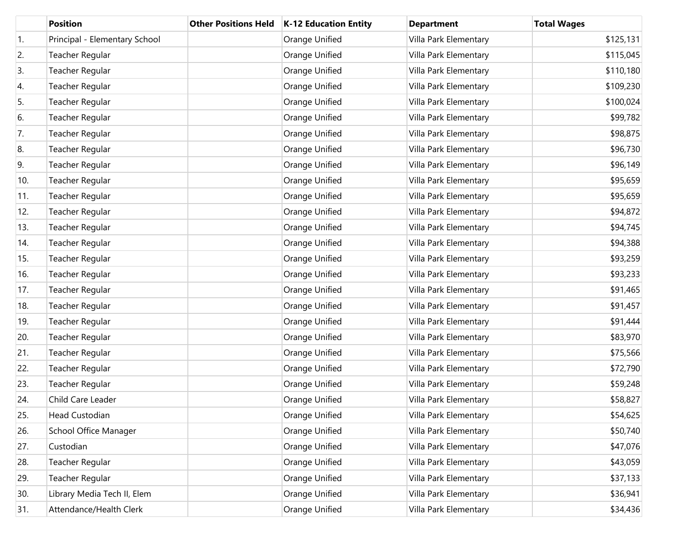|                  | <b>Position</b>               | <b>Other Positions Held</b> | K-12 Education Entity | <b>Department</b>     | <b>Total Wages</b> |
|------------------|-------------------------------|-----------------------------|-----------------------|-----------------------|--------------------|
| $\overline{1}$ . | Principal - Elementary School |                             | Orange Unified        | Villa Park Elementary | \$125,131          |
| 2.               | Teacher Regular               |                             | Orange Unified        | Villa Park Elementary | \$115,045          |
| 3.               | Teacher Regular               |                             | Orange Unified        | Villa Park Elementary | \$110,180          |
| 4.               | Teacher Regular               |                             | Orange Unified        | Villa Park Elementary | \$109,230          |
| 5.               | Teacher Regular               |                             | Orange Unified        | Villa Park Elementary | \$100,024          |
| 6.               | Teacher Regular               |                             | Orange Unified        | Villa Park Elementary | \$99,782           |
| 7.               | Teacher Regular               |                             | Orange Unified        | Villa Park Elementary | \$98,875           |
| 8.               | Teacher Regular               |                             | Orange Unified        | Villa Park Elementary | \$96,730           |
| 9.               | Teacher Regular               |                             | Orange Unified        | Villa Park Elementary | \$96,149           |
| 10.              | Teacher Regular               |                             | Orange Unified        | Villa Park Elementary | \$95,659           |
| 11.              | Teacher Regular               |                             | Orange Unified        | Villa Park Elementary | \$95,659           |
| 12.              | Teacher Regular               |                             | Orange Unified        | Villa Park Elementary | \$94,872           |
| 13.              | Teacher Regular               |                             | Orange Unified        | Villa Park Elementary | \$94,745           |
| 14.              | Teacher Regular               |                             | Orange Unified        | Villa Park Elementary | \$94,388           |
| 15.              | Teacher Regular               |                             | Orange Unified        | Villa Park Elementary | \$93,259           |
| 16.              | Teacher Regular               |                             | Orange Unified        | Villa Park Elementary | \$93,233           |
| 17.              | Teacher Regular               |                             | Orange Unified        | Villa Park Elementary | \$91,465           |
| 18.              | Teacher Regular               |                             | Orange Unified        | Villa Park Elementary | \$91,457           |
| 19.              | Teacher Regular               |                             | Orange Unified        | Villa Park Elementary | \$91,444           |
| 20.              | Teacher Regular               |                             | Orange Unified        | Villa Park Elementary | \$83,970           |
| 21.              | Teacher Regular               |                             | Orange Unified        | Villa Park Elementary | \$75,566           |
| 22.              | Teacher Regular               |                             | Orange Unified        | Villa Park Elementary | \$72,790           |
| 23.              | Teacher Regular               |                             | Orange Unified        | Villa Park Elementary | \$59,248           |
| 24.              | Child Care Leader             |                             | Orange Unified        | Villa Park Elementary | \$58,827           |
| 25.              | Head Custodian                |                             | Orange Unified        | Villa Park Elementary | \$54,625           |
| 26.              | School Office Manager         |                             | Orange Unified        | Villa Park Elementary | \$50,740           |
| 27.              | Custodian                     |                             | Orange Unified        | Villa Park Elementary | \$47,076           |
| 28.              | Teacher Regular               |                             | Orange Unified        | Villa Park Elementary | \$43,059           |
| 29.              | Teacher Regular               |                             | Orange Unified        | Villa Park Elementary | \$37,133           |
| 30.              | Library Media Tech II, Elem   |                             | Orange Unified        | Villa Park Elementary | \$36,941           |
| 31.              | Attendance/Health Clerk       |                             | Orange Unified        | Villa Park Elementary | \$34,436           |